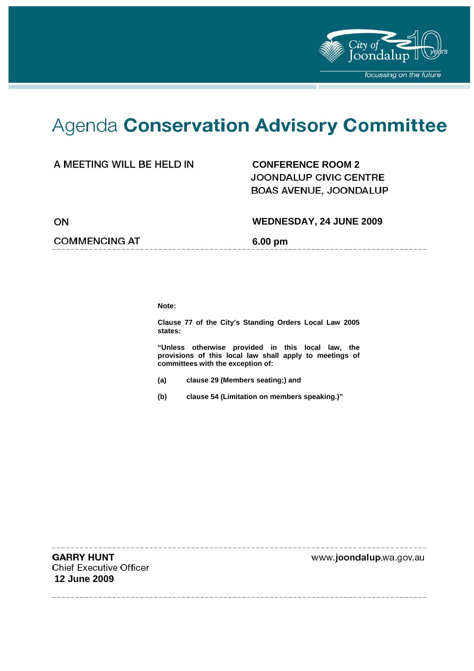

# Agenda Conservation Advisory Committee

## A MEETING WILL BE HELD IN **CONFERENCE ROOM 2**

**JOONDALUP CIVIC CENTRE** BOAS AVENUE, JOONDALUP

ON

#### **WEDNESDAY, 24 JUNE 2009**

--------------------

#### **COMMENCING AT 6.00 pm**

**Note:** 

**Clause 77 of the City's Standing Orders Local Law 2005 states:** 

**"Unless otherwise provided in this local law, the provisions of this local law shall apply to meetings of committees with the exception of:** 

- **(a) clause 29 (Members seating;) and**
- **(b) clause 54 (Limitation on members speaking.)"**

**GARRY HUNT Chief Executive Officer 12 June 2009** 

www.joondalup.wa.gov.au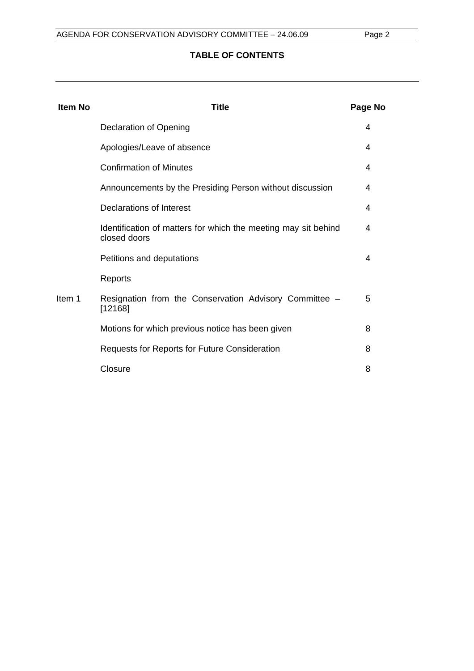## **TABLE OF CONTENTS**

| <b>Item No</b> | Title                                                                          | Page No |
|----------------|--------------------------------------------------------------------------------|---------|
|                | <b>Declaration of Opening</b>                                                  | 4       |
|                | Apologies/Leave of absence                                                     | 4       |
|                | <b>Confirmation of Minutes</b>                                                 | 4       |
|                | Announcements by the Presiding Person without discussion                       | 4       |
|                | Declarations of Interest                                                       | 4       |
|                | Identification of matters for which the meeting may sit behind<br>closed doors | 4       |
|                | Petitions and deputations                                                      | 4       |
|                | Reports                                                                        |         |
| Item 1         | Resignation from the Conservation Advisory Committee -<br>[12168]              | 5       |
|                | Motions for which previous notice has been given                               | 8       |
|                | Requests for Reports for Future Consideration                                  | 8       |
|                | Closure                                                                        | 8       |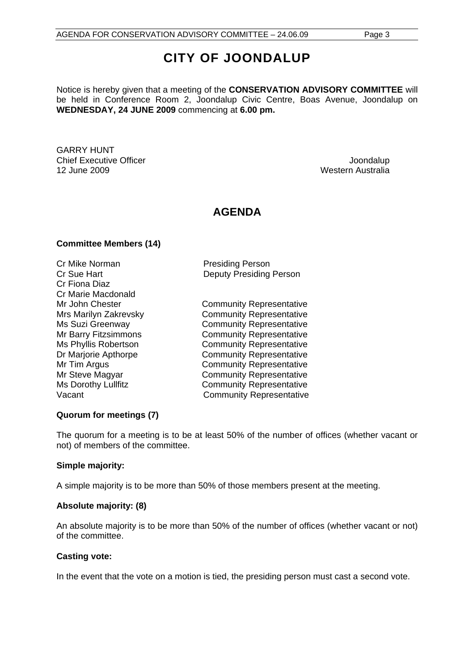# **CITY OF JOONDALUP**

Notice is hereby given that a meeting of the **CONSERVATION ADVISORY COMMITTEE** will be held in Conference Room 2, Joondalup Civic Centre, Boas Avenue, Joondalup on **WEDNESDAY, 24 JUNE 2009** commencing at **6.00 pm.** 

GARRY HUNT Chief Executive Officer  $\Box$  Joondalup Joondalup 12 June 2009 Western Australia

# **AGENDA**

#### **Committee Members (14)**

Cr Mike Norman **Presiding Person** Cr Fiona Diaz Cr Marie Macdonald

Cr Sue Hart **Deputy Presiding Person** 

Mr John Chester **Community Representative** Mrs Marilyn Zakrevsky Community Representative Ms Suzi Greenway **Community Representative** Mr Barry Fitzsimmons **Community Representative** Ms Phyllis Robertson **Community Representative** Dr Marjorie Apthorpe Community Representative Mr Tim Argus **Community Representative** Mr Steve Magyar **Community Representative** Ms Dorothy Lullfitz **Community Representative** Vacant Vacant Community Representative

#### **Quorum for meetings (7)**

The quorum for a meeting is to be at least 50% of the number of offices (whether vacant or not) of members of the committee.

#### **Simple majority:**

A simple majority is to be more than 50% of those members present at the meeting.

#### **Absolute majority: (8)**

An absolute majority is to be more than 50% of the number of offices (whether vacant or not) of the committee.

#### **Casting vote:**

In the event that the vote on a motion is tied, the presiding person must cast a second vote.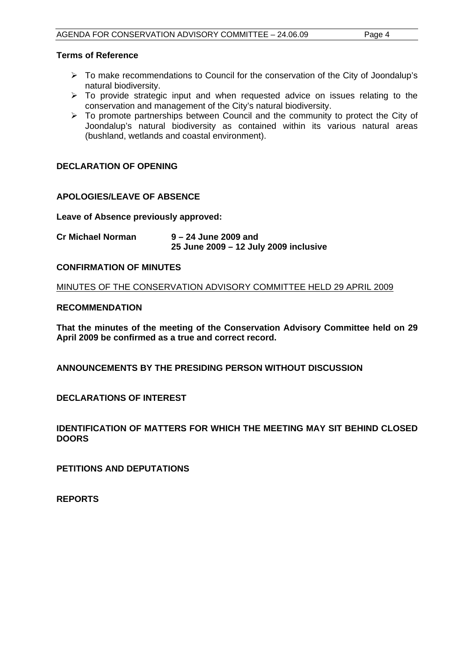#### **Terms of Reference**

- ¾ To make recommendations to Council for the conservation of the City of Joondalup's natural biodiversity.
- $\geq$  To provide strategic input and when requested advice on issues relating to the conservation and management of the City's natural biodiversity.
- $\triangleright$  To promote partnerships between Council and the community to protect the City of Joondalup's natural biodiversity as contained within its various natural areas (bushland, wetlands and coastal environment).

#### **DECLARATION OF OPENING**

#### **APOLOGIES/LEAVE OF ABSENCE**

**Leave of Absence previously approved:** 

**Cr Michael Norman 9 – 24 June 2009 and 25 June 2009 – 12 July 2009 inclusive** 

#### **CONFIRMATION OF MINUTES**

MINUTES OF THE CONSERVATION ADVISORY COMMITTEE HELD 29 APRIL 2009

#### **RECOMMENDATION**

**That the minutes of the meeting of the Conservation Advisory Committee held on 29 April 2009 be confirmed as a true and correct record.** 

**ANNOUNCEMENTS BY THE PRESIDING PERSON WITHOUT DISCUSSION** 

**DECLARATIONS OF INTEREST** 

**IDENTIFICATION OF MATTERS FOR WHICH THE MEETING MAY SIT BEHIND CLOSED DOORS** 

**PETITIONS AND DEPUTATIONS** 

**REPORTS**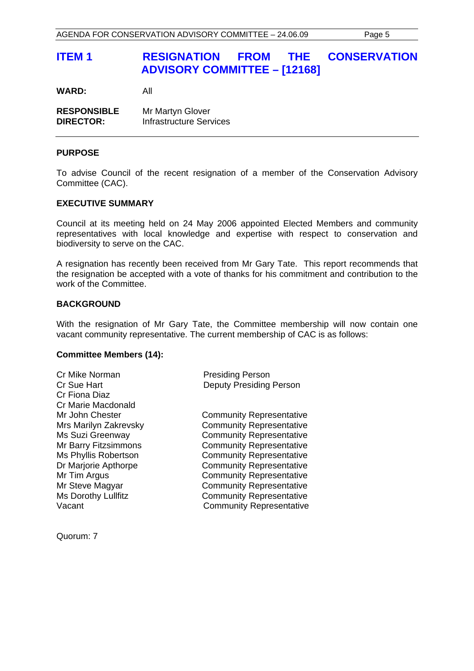# **ITEM 1 RESIGNATION FROM THE CONSERVATION ADVISORY COMMITTEE – [12168]**

**WARD:** All

| <b>RESPONSIBLE</b> | Mr Martyn Glover               |
|--------------------|--------------------------------|
| <b>DIRECTOR:</b>   | <b>Infrastructure Services</b> |

#### **PURPOSE**

To advise Council of the recent resignation of a member of the Conservation Advisory Committee (CAC).

#### **EXECUTIVE SUMMARY**

Council at its meeting held on 24 May 2006 appointed Elected Members and community representatives with local knowledge and expertise with respect to conservation and biodiversity to serve on the CAC.

A resignation has recently been received from Mr Gary Tate. This report recommends that the resignation be accepted with a vote of thanks for his commitment and contribution to the work of the Committee.

#### **BACKGROUND**

With the resignation of Mr Gary Tate, the Committee membership will now contain one vacant community representative. The current membership of CAC is as follows:

#### **Committee Members (14):**

| <b>Presiding Person</b>         |
|---------------------------------|
| <b>Deputy Presiding Person</b>  |
|                                 |
|                                 |
| <b>Community Representative</b> |
| <b>Community Representative</b> |
| <b>Community Representative</b> |
| <b>Community Representative</b> |
| <b>Community Representative</b> |
| <b>Community Representative</b> |
| <b>Community Representative</b> |
| <b>Community Representative</b> |
| <b>Community Representative</b> |
| <b>Community Representative</b> |
|                                 |

Quorum: 7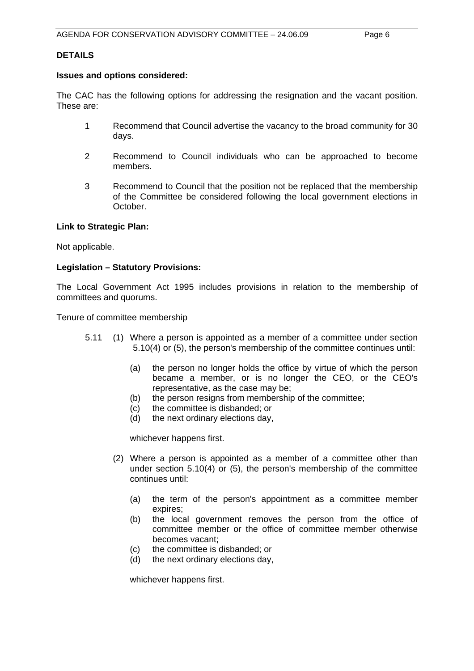#### **DETAILS**

#### **Issues and options considered:**

The CAC has the following options for addressing the resignation and the vacant position. These are:

- 1 Recommend that Council advertise the vacancy to the broad community for 30 days.
- 2 Recommend to Council individuals who can be approached to become members.
- 3 Recommend to Council that the position not be replaced that the membership of the Committee be considered following the local government elections in October.

#### **Link to Strategic Plan:**

Not applicable.

#### **Legislation – Statutory Provisions:**

The Local Government Act 1995 includes provisions in relation to the membership of committees and quorums.

Tenure of committee membership

- 5.11 (1) Where a person is appointed as a member of a committee under section 5.10(4) or (5), the person's membership of the committee continues until:
	- (a) the person no longer holds the office by virtue of which the person became a member, or is no longer the CEO, or the CEO's representative, as the case may be;
	- (b) the person resigns from membership of the committee;
	- (c) the committee is disbanded; or
	- (d) the next ordinary elections day,

whichever happens first.

- (2) Where a person is appointed as a member of a committee other than under section 5.10(4) or (5), the person's membership of the committee continues until:
	- (a) the term of the person's appointment as a committee member expires;
	- (b) the local government removes the person from the office of committee member or the office of committee member otherwise becomes vacant;
	- (c) the committee is disbanded; or
	- (d) the next ordinary elections day,

whichever happens first.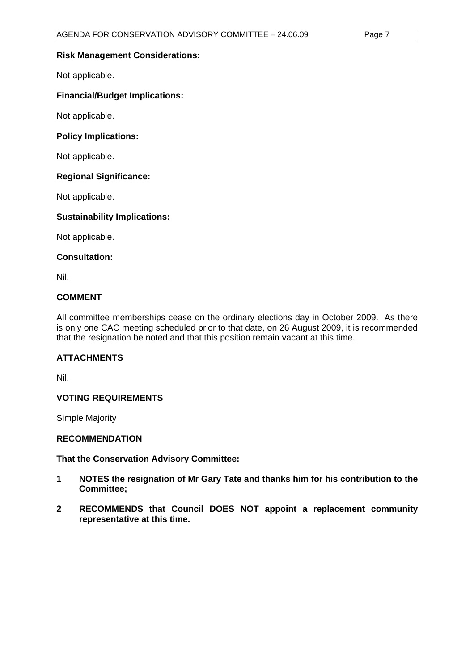#### **Risk Management Considerations:**

Not applicable.

#### **Financial/Budget Implications:**

Not applicable.

#### **Policy Implications:**

Not applicable.

#### **Regional Significance:**

Not applicable.

#### **Sustainability Implications:**

Not applicable.

#### **Consultation:**

Nil.

#### **COMMENT**

All committee memberships cease on the ordinary elections day in October 2009. As there is only one CAC meeting scheduled prior to that date, on 26 August 2009, it is recommended that the resignation be noted and that this position remain vacant at this time.

#### **ATTACHMENTS**

Nil.

#### **VOTING REQUIREMENTS**

Simple Majority

#### **RECOMMENDATION**

#### **That the Conservation Advisory Committee:**

- **1 NOTES the resignation of Mr Gary Tate and thanks him for his contribution to the Committee;**
- **2 RECOMMENDS that Council DOES NOT appoint a replacement community representative at this time.**